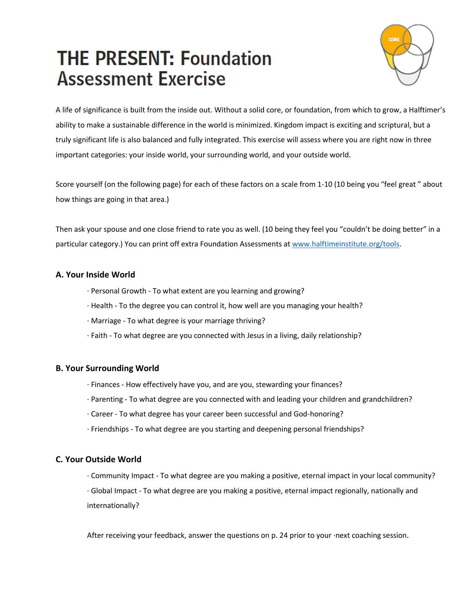# **THE PRESENT: Foundation Assessment Exercise**



A life of significance is built from the inside out. Without a solid core, or foundation, from which to grow, a Halftimer's ability to make a sustainable difference in the world is minimized. Kingdom impact is exciting and scriptural, but a truly significant life is also balanced and fully integrated. This exercise will assess where you are right now in three important categories: your inside world, your surrounding world, and your outside world.

Score yourself (on the following page) for each of these factors on a scale from 1-10 (10 being you "feel great " about how things are going in that area.)

Then ask your spouse and one close friend to rate you as well. (10 being they feel you "couldn't be doing better" in a particular category.) You can print off extra Foundation Assessments at www.halftimeinstitute.org/tools.

### **A. Your Inside World**

- · Personal Growth To what extent are you learning and growing?
- · Health To the degree you can control it, how well are you managing your health?
- · Marriage To what degree is your marriage thriving?
- · Faith To what degree are you connected with Jesus in a living, daily relationship?

#### **B. Your Surrounding World**

- · Finances How effectively have you, and are you, stewarding your finances?
- · Parenting To what degree are you connected with and leading your children and grandchildren?
- · Career To what degree has your career been successful and God-honoring?
- · Friendships To what degree are you starting and deepening personal friendships?

#### **C. Your Outside World**

· Community Impact - To what degree are you making a positive, eternal impact in your local community?

· Global Impact - To what degree are you making a positive, eternal impact regionally, nationally and internationally?

After receiving your feedback, answer the questions on p. 24 prior to your ·next coaching session.